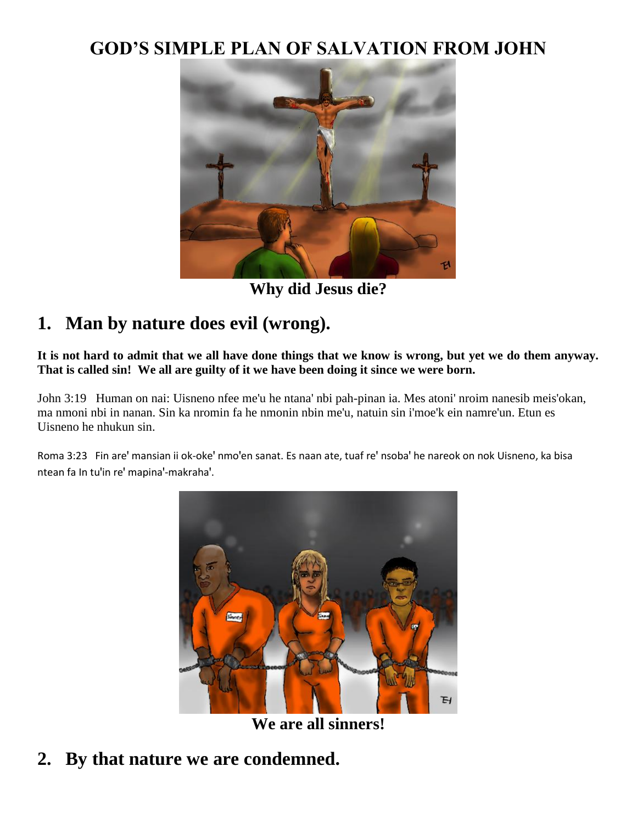#### **GOD'S SIMPLE PLAN OF SALVATION FROM JOHN**



**Why did Jesus die?**

### **1. Man by nature does evil (wrong).**

**It is not hard to admit that we all have done things that we know is wrong, but yet we do them anyway. That is called sin! We all are guilty of it we have been doing it since we were born.**

John 3:19 Human on nai: Uisneno nfee me'u he ntana' nbi pah-pinan ia. Mes atoni' nroim nanesib meis'okan, ma nmoni nbi in nanan. Sin ka nromin fa he nmonin nbin me'u, natuin sin i'moe'k ein namre'un. Etun es Uisneno he nhukun sin.

Roma 3:23 Fin are' mansian ii ok-oke' nmo'en sanat. Es naan ate, tuaf re' nsoba' he nareok on nok Uisneno, ka bisa ntean fa In tu'in re' mapina'-makraha'.



**We are all sinners!**

## **2. By that nature we are condemned.**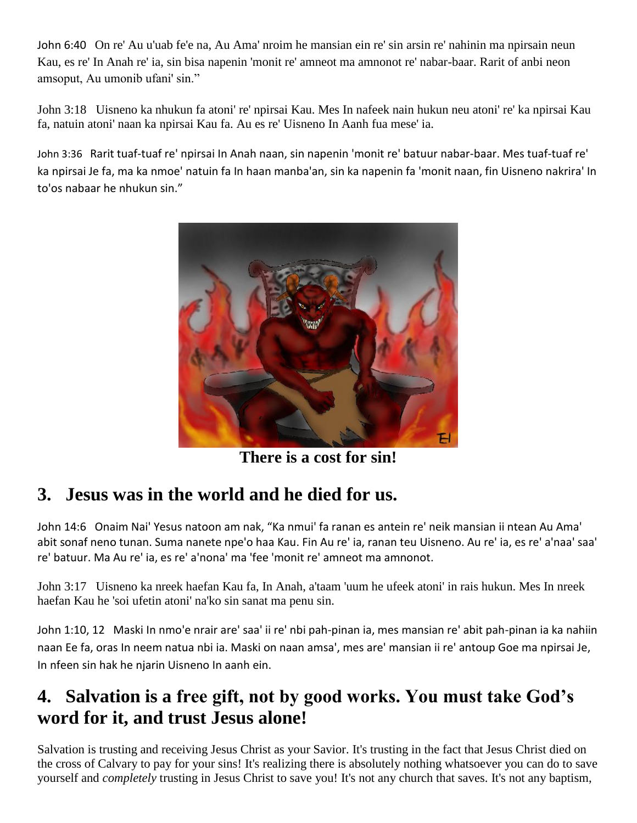John 6:40 On re' Au u'uab fe'e na, Au Ama' nroim he mansian ein re' sin arsin re' nahinin ma npirsain neun Kau, es re' In Anah re' ia, sin bisa napenin 'monit re' amneot ma amnonot re' nabar-baar. Rarit of anbi neon amsoput, Au umonib ufani' sin."

John 3:18 Uisneno ka nhukun fa atoni' re' npirsai Kau. Mes In nafeek nain hukun neu atoni' re' ka npirsai Kau fa, natuin atoni' naan ka npirsai Kau fa. Au es re' Uisneno In Aanh fua mese' ia.

John 3:36 Rarit tuaf-tuaf re' npirsai In Anah naan, sin napenin 'monit re' batuur nabar-baar. Mes tuaf-tuaf re' ka npirsai Je fa, ma ka nmoe' natuin fa In haan manba'an, sin ka napenin fa 'monit naan, fin Uisneno nakrira' In to'os nabaar he nhukun sin."



**There is a cost for sin!**

### **3. Jesus was in the world and he died for us.**

John 14:6 Onaim Nai' Yesus natoon am nak, "Ka nmui' fa ranan es antein re' neik mansian ii ntean Au Ama' abit sonaf neno tunan. Suma nanete npe'o haa Kau. Fin Au re' ia, ranan teu Uisneno. Au re' ia, es re' a'naa' saa' re' batuur. Ma Au re' ia, es re' a'nona' ma 'fee 'monit re' amneot ma amnonot.

John 3:17 Uisneno ka nreek haefan Kau fa, In Anah, a'taam 'uum he ufeek atoni' in rais hukun. Mes In nreek haefan Kau he 'soi ufetin atoni' na'ko sin sanat ma penu sin.

John 1:10, 12 Maski In nmo'e nrair are' saa' ii re' nbi pah-pinan ia, mes mansian re' abit pah-pinan ia ka nahiin naan Ee fa, oras In neem natua nbi ia. Maski on naan amsa', mes are' mansian ii re' antoup Goe ma npirsai Je, In nfeen sin hak he njarin Uisneno In aanh ein.

## **4. Salvation is a free gift, not by good works. You must take God's word for it, and trust Jesus alone!**

Salvation is trusting and receiving Jesus Christ as your Savior. It's trusting in the fact that Jesus Christ died on the cross of Calvary to pay for your sins! It's realizing there is absolutely nothing whatsoever you can do to save yourself and *completely* trusting in Jesus Christ to save you! It's not any church that saves. It's not any baptism,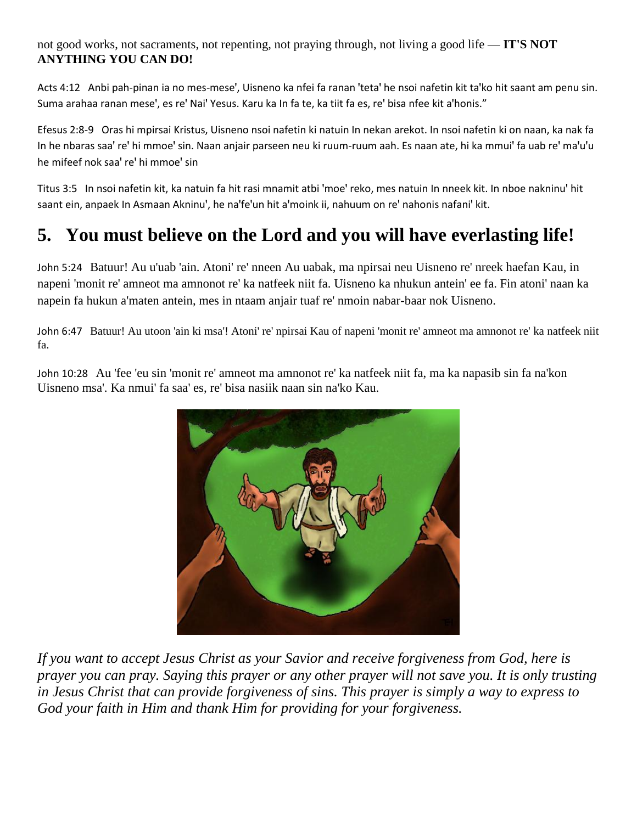not good works, not sacraments, not repenting, not praying through, not living a good life — **IT'S NOT ANYTHING YOU CAN DO!**

Acts 4:12 Anbi pah-pinan ia no mes-mese', Uisneno ka nfei fa ranan 'teta' he nsoi nafetin kit ta'ko hit saant am penu sin. Suma arahaa ranan mese', es re' Nai' Yesus. Karu ka In fa te, ka tiit fa es, re' bisa nfee kit a'honis."

Efesus 2:8-9 Oras hi mpirsai Kristus, Uisneno nsoi nafetin ki natuin In nekan arekot. In nsoi nafetin ki on naan, ka nak fa In he nbaras saa' re' hi mmoe' sin. Naan anjair parseen neu ki ruum-ruum aah. Es naan ate, hi ka mmui' fa uab re' ma'u'u he mifeef nok saa' re' hi mmoe' sin

Titus 3:5 In nsoi nafetin kit, ka natuin fa hit rasi mnamit atbi 'moe' reko, mes natuin In nneek kit. In nboe nakninu' hit saant ein, anpaek In Asmaan Akninu', he na'fe'un hit a'moink ii, nahuum on re' nahonis nafani' kit.

# **5. You must believe on the Lord and you will have everlasting life!**

John 5:24 Batuur! Au u'uab 'ain. Atoni' re' nneen Au uabak, ma npirsai neu Uisneno re' nreek haefan Kau, in napeni 'monit re' amneot ma amnonot re' ka natfeek niit fa. Uisneno ka nhukun antein' ee fa. Fin atoni' naan ka napein fa hukun a'maten antein, mes in ntaam anjair tuaf re' nmoin nabar-baar nok Uisneno.

John 6:47 Batuur! Au utoon 'ain ki msa'! Atoni' re' npirsai Kau of napeni 'monit re' amneot ma amnonot re' ka natfeek niit fa.

John 10:28 Au 'fee 'eu sin 'monit re' amneot ma amnonot re' ka natfeek niit fa, ma ka napasib sin fa na'kon Uisneno msa'. Ka nmui' fa saa' es, re' bisa nasiik naan sin na'ko Kau.



*If you want to accept Jesus Christ as your Savior and receive forgiveness from God, here is prayer you can pray. Saying this prayer or any other prayer will not save you. It is only trusting in Jesus Christ that can provide forgiveness of sins. This prayer is simply a way to express to God your faith in Him and thank Him for providing for your forgiveness.*